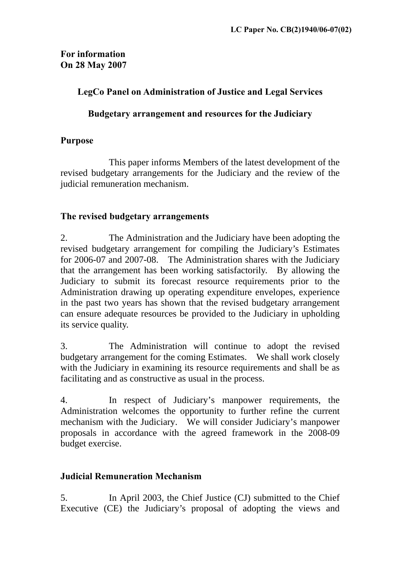## **For information On 28 May 2007**

### **LegCo Panel on Administration of Justice and Legal Services**

#### **Budgetary arrangement and resources for the Judiciary**

## **Purpose**

 This paper informs Members of the latest development of the revised budgetary arrangements for the Judiciary and the review of the judicial remuneration mechanism.

## **The revised budgetary arrangements**

2. The Administration and the Judiciary have been adopting the revised budgetary arrangement for compiling the Judiciary's Estimates for 2006-07 and 2007-08. The Administration shares with the Judiciary that the arrangement has been working satisfactorily. By allowing the Judiciary to submit its forecast resource requirements prior to the Administration drawing up operating expenditure envelopes, experience in the past two years has shown that the revised budgetary arrangement can ensure adequate resources be provided to the Judiciary in upholding its service quality.

3. The Administration will continue to adopt the revised budgetary arrangement for the coming Estimates. We shall work closely with the Judiciary in examining its resource requirements and shall be as facilitating and as constructive as usual in the process.

4. In respect of Judiciary's manpower requirements, the Administration welcomes the opportunity to further refine the current mechanism with the Judiciary. We will consider Judiciary's manpower proposals in accordance with the agreed framework in the 2008-09 budget exercise.

# **Judicial Remuneration Mechanism**

5. In April 2003, the Chief Justice (CJ) submitted to the Chief Executive (CE) the Judiciary's proposal of adopting the views and